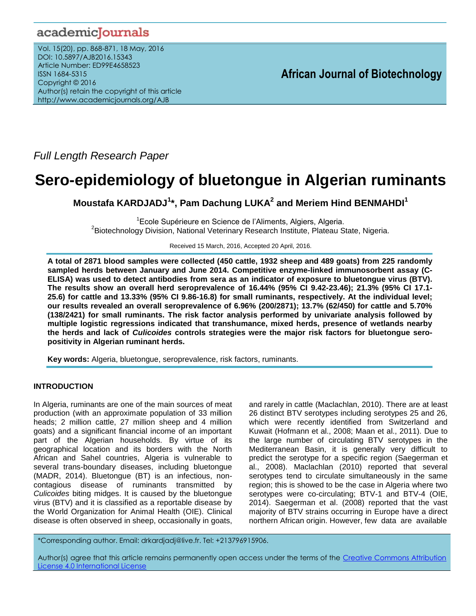# academicJournals

Vol. 15(20), pp. 868-871, 18 May, 2016 DOI: 10.5897/AJB2016.15343 Article Number: ED99E4658523 ISSN 1684-5315 Copyright © 2016 Author(s) retain the copyright of this article http://www.academicjournals.org/AJB

*Full Length Research Paper*

# **Sero-epidemiology of bluetongue in Algerian ruminants**

**Moustafa KARDJADJ<sup>1</sup> \*, Pam Dachung LUKA<sup>2</sup> and Meriem Hind BENMAHDI<sup>1</sup>**

<sup>1</sup> Ecole Supérieure en Science de l'Aliments, Algiers, Algeria. <sup>2</sup>Biotechnology Division, National Veterinary Research Institute, Plateau State, Nigeria.

Received 15 March, 2016, Accepted 20 April, 2016.

**A total of 2871 blood samples were collected (450 cattle, 1932 sheep and 489 goats) from 225 randomly sampled herds between January and June 2014. Competitive enzyme-linked immunosorbent assay (C-ELISA) was used to detect antibodies from sera as an indicator of exposure to bluetongue virus (BTV). The results show an overall herd seroprevalence of 16.44% (95% CI 9.42-23.46); 21.3% (95% CI 17.1- 25.6) for cattle and 13.33% (95% CI 9.86-16.8) for small ruminants, respectively. At the individual level; our results revealed an overall seroprevalence of 6.96% (200/2871); 13.7% (62/450) for cattle and 5.70% (138/2421) for small ruminants. The risk factor analysis performed by univariate analysis followed by multiple logistic regressions indicated that transhumance, mixed herds, presence of wetlands nearby the herds and lack of** *Culicoides* **controls strategies were the major risk factors for bluetongue seropositivity in Algerian ruminant herds.** 

**Key words:** Algeria, bluetongue, seroprevalence, risk factors, ruminants.

# **INTRODUCTION**

In Algeria, ruminants are one of the main sources of meat production (with an approximate population of 33 million heads; 2 million cattle, 27 million sheep and 4 million goats) and a significant financial income of an important part of the Algerian households. By virtue of its geographical location and its borders with the North African and Sahel countries, Algeria is vulnerable to several trans-boundary diseases, including bluetongue (MADR, 2014). Bluetongue (BT) is an infectious, noncontagious disease of ruminants transmitted by *Culicoides* biting midges. It is caused by the bluetongue virus (BTV) and it is classified as a reportable disease by the World Organization for Animal Health (OIE). Clinical disease is often observed in sheep, occasionally in goats, and rarely in cattle (Maclachlan, 2010). There are at least 26 distinct BTV serotypes including serotypes 25 and 26, which were recently identified from Switzerland and Kuwait (Hofmann et al., 2008; Maan et al., 2011). Due to the large number of circulating BTV serotypes in the Mediterranean Basin, it is generally very difficult to predict the serotype for a specific region (Saegerman et al., 2008). Maclachlan (2010) reported that several serotypes tend to circulate simultaneously in the same region; this is showed to be the case in Algeria where two serotypes were co-circulating; BTV-1 and BTV-4 (OIE, 2014). Saegerman et al. (2008) reported that the vast majority of BTV strains occurring in Europe have a direct northern African origin. However, few data are available

\*Corresponding author. Email: drkardjadj@live.fr. Tel: +213796915906.

Author(s) agree that this article remains permanently open access under the terms of the [Creative Commons Attribution](http://creativecommons.org/licenses/by/4.0/deed.en_US)  [License 4.0 International License](http://creativecommons.org/licenses/by/4.0/deed.en_US)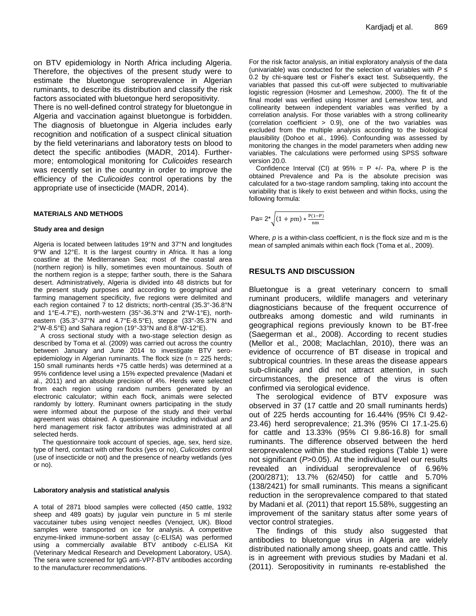on BTV epidemiology in North Africa including Algeria. Therefore, the objectives of the present study were to estimate the bluetongue seroprevalence in Algerian ruminants, to describe its distribution and classify the risk factors associated with bluetongue herd seropositivity.

There is no well-defined control strategy for bluetongue in Algeria and vaccination against bluetongue is forbidden. The diagnosis of bluetongue in Algeria includes early recognition and notification of a suspect clinical situation by the field veterinarians and laboratory tests on blood to detect the specific antibodies (MADR, 2014). Furthermore; entomological monitoring for *Culicoides* research was recently set in the country in order to improve the efficiency of the *Culicoides* control operations by the appropriate use of insecticide (MADR, 2014).

## **MATERIALS AND METHODS**

#### **Study area and design**

Algeria is located between latitudes 19°N and 37°N and longitudes 9°W and 12°E. It is the largest country in Africa. It has a long coastline at the Mediterranean Sea; most of the coastal area (northern region) is hilly, sometimes even mountainous. South of the northern region is a steppe; farther south, there is the Sahara desert. Administratively, Algeria is divided into 48 districts but for the present study purposes and according to geographical and farming management specificity, five regions were delimited and each region contained 7 to 12 districts; north-central (35.3°-36.8°N and 1°E-4.7°E), north-western (35°-36.3°N and 2°W-1°E), northeastern (35.3°-37°N and 4.7°E-8.5°E), steppe (33°-35.3°N and 2°W-8.5°E) and Sahara region (19°-33°N and 8.8°W-12°E).

A cross sectional study with a two-stage selection design as described by Toma et al. (2009) was carried out across the country between January and June 2014 to investigate BTV seroepidemiology in Algerian ruminants. The flock size (n = 225 herds; 150 small ruminants herds +75 cattle herds) was determined at a 95% confidence level using a 15% expected prevalence (Madani et al., 2011) and an absolute precision of 4%. Herds were selected from each region using random numbers generated by an electronic calculator; within each flock, animals were selected randomly by lottery. Ruminant owners participating in the study were informed about the purpose of the study and their verbal agreement was obtained. A questionnaire including individual and herd management risk factor attributes was administrated at all selected herds.

The questionnaire took account of species, age, sex, herd size, type of herd, contact with other flocks (yes or no), *Culicoides* control (use of insecticide or not) and the presence of nearby wetlands (yes or no).

#### **Laboratory analysis and statistical analysis**

A total of 2871 blood samples were collected (450 cattle, 1932 sheep and 489 goats) by jugular vein puncture in 5 ml sterile vaccutainer tubes using venoject needles (Venoject, UK). Blood samples were transported on ice for analysis. A competitive enzyme-linked immune-sorbent assay (c-ELISA) was performed using a commercially available BTV antibody c-ELISA Kit (Veterinary Medical Research and Development Laboratory, USA). The sera were screened for IgG anti-VP7-BTV antibodies according to the manufacturer recommendations.

For the risk factor analysis, an initial exploratory analysis of the data (univariable) was conducted for the selection of variables with *P* ≤ 0.2 by chi-square test or Fisher's exact test. Subsequently, the variables that passed this cut-off were subjected to multivariable logistic regression (Hosmer and Lemeshow, 2000). The fit of the final model was verified using Hosmer and Lemeshow test, and collinearity between independent variables was verified by a correlation analysis. For those variables with a strong collinearity (correlation coefficient > 0.9), one of the two variables was excluded from the multiple analysis according to the biological plausibility (Dohoo et al., 1996). Confounding was assessed by monitoring the changes in the model parameters when adding new variables. The calculations were performed using SPSS software version 20.0.

Confidence Interval (CI) at  $95\% = P +/-$  Pa, where P is the obtained Prevalence and Pa is the absolute precision was calculated for a two-stage random sampling, taking into account the variability that is likely to exist between and within flocks, using the following formula:

$$
\mathsf{Pa} = 2^* \sqrt{(1 + pm) * \frac{\mathsf{P}(1 - \mathsf{P})}{\mathsf{nm}}}
$$

Where, *p* is a within-class coefficient, n is the flock size and m is the mean of sampled animals within each flock (Toma et al., 2009).

## **RESULTS AND DISCUSSION**

Bluetongue is a great veterinary concern to small ruminant producers, wildlife managers and veterinary diagnosticians because of the frequent occurrence of outbreaks among domestic and wild ruminants in geographical regions previously known to be BT-free (Saegerman et al., 2008). According to recent studies (Mellor et al., 2008; Maclachlan, 2010), there was an evidence of occurrence of BT disease in tropical and subtropical countries. In these areas the disease appears sub-clinically and did not attract attention, in such circumstances, the presence of the virus is often confirmed via serological evidence.

The serological evidence of BTV exposure was observed in 37 (17 cattle and 20 small ruminants herds) out of 225 herds accounting for 16.44% (95% CI 9.42- 23.46) herd seroprevalence; 21.3% (95% CI 17.1-25.6) for cattle and 13.33% (95% CI 9.86-16.8) for small ruminants. The difference observed between the herd seroprevalence within the studied regions (Table 1) were not significant (*P*>0.05). At the individual level our results revealed an individual seroprevalence of 6.96% (200/2871); 13.7% (62/450) for cattle and 5.70% (138/2421) for small ruminants. This means a significant reduction in the seroprevalence compared to that stated by Madani et al*.* (2011) that report 15.58%, suggesting an improvement of the sanitary status after some years of vector control strategies.

The findings of this study also suggested that antibodies to bluetongue virus in Algeria are widely distributed nationally among sheep, goats and cattle. This is in agreement with previous studies by Madani et al. (2011). Seropositivity in ruminants re-established the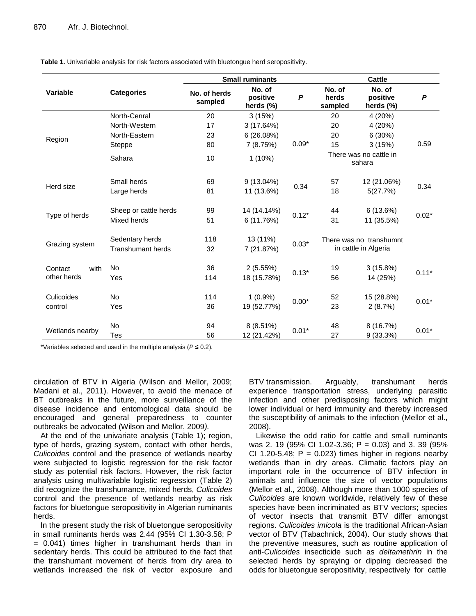|                                |                                             | <b>Small ruminants</b>  |                                 |         | <b>Cattle</b>                                   |                                 |         |
|--------------------------------|---------------------------------------------|-------------------------|---------------------------------|---------|-------------------------------------------------|---------------------------------|---------|
| Variable                       | <b>Categories</b>                           | No. of herds<br>sampled | No. of<br>positive<br>herds (%) | P       | No. of<br>herds<br>sampled                      | No. of<br>positive<br>herds (%) | P       |
| Region                         | North-Cenral                                | 20                      | 3(15%)                          |         | 20                                              | 4 (20%)                         |         |
|                                | North-Western                               | 17                      | 3 (17.64%)                      |         | 20                                              | 4 (20%)                         | 0.59    |
|                                | North-Eastern                               | 23                      | 6(26.08%)                       |         | 20                                              | 6 (30%)                         |         |
|                                | Steppe                                      | 80                      | 7(8.75%)                        | $0.09*$ | 15                                              | 3(15%)                          |         |
|                                | Sahara                                      | 10                      | $1(10\%)$                       |         | There was no cattle in<br>sahara                |                                 |         |
| Herd size                      | Small herds                                 | 69                      | $9(13.04\%)$                    |         | 57                                              | 12 (21.06%)                     | 0.34    |
|                                | Large herds                                 | 81                      | 11 (13.6%)                      | 0.34    | 18                                              | 5(27.7%)                        |         |
| Type of herds                  | Sheep or cattle herds<br>Mixed herds        | 99<br>51                | 14 (14.14%)<br>6 (11.76%)       | $0.12*$ | 44<br>31                                        | 6(13.6%)<br>11 (35.5%)          | $0.02*$ |
| Grazing system                 | Sedentary herds<br><b>Transhumant herds</b> | 118<br>32               | 13 (11%)<br>7 (21.87%)          | $0.03*$ | There was no transhumnt<br>in cattle in Algeria |                                 |         |
| with<br>Contact<br>other herds | No<br>Yes                                   | 36<br>114               | 2(5.55%)<br>18 (15.78%)         | $0.13*$ | 19<br>56                                        | 3(15.8%)<br>14 (25%)            | $0.11*$ |
| Culicoides<br>control          | <b>No</b>                                   | 114                     | $1(0.9\%)$                      |         | 52                                              | 15 (28.8%)                      |         |
|                                | Yes                                         | 36                      | 19 (52.77%)                     | $0.00*$ | 23                                              | 2(8.7%)                         | $0.01*$ |
| Wetlands nearby                | No<br>Tes                                   | 94<br>56                | 8 (8.51%)<br>12 (21.42%)        | $0.01*$ | 48<br>27                                        | 8 (16.7%)<br>9(33.3%)           | $0.01*$ |

**Table 1.** Univariable analysis for risk factors associated with bluetongue herd seropositivity.

\*Variables selected and used in the multiple analysis (*P* ≤ 0.2).

circulation of BTV in Algeria (Wilson and Mellor, 2009; Madani et al., 2011). However, to avoid the menace of BT outbreaks in the future, more surveillance of the disease incidence and entomological data should be encouraged and general preparedness to counter outbreaks be advocated (Wilson and Mellor, 2009*).*

At the end of the univariate analysis (Table 1); region, type of herds, grazing system, contact with other herds, *Culicoides* control and the presence of wetlands nearby were subjected to logistic regression for the risk factor study as potential risk factors. However, the risk factor analysis using multivariable logistic regression (Table 2) did recognize the transhumance, mixed herds, *Culicoides* control and the presence of wetlands nearby as risk factors for bluetongue seropositivity in Algerian ruminants herds.

In the present study the risk of bluetongue seropositivity in small ruminants herds was 2.44 (95% CI 1.30-3.58; P = 0.041) times higher in transhumant herds than in sedentary herds. This could be attributed to the fact that the transhumant movement of herds from dry area to wetlands increased the risk of vector exposure and BTV transmission. Arguably, transhumant herds experience transportation stress, underlying parasitic infection and other predisposing factors which might lower individual or herd immunity and thereby increased the susceptibility of animals to the infection (Mellor et al., 2008).

Likewise the odd ratio for cattle and small ruminants was 2. 19 (95% CI 1.02-3.36; P = 0.03) and 3. 39 (95% CI 1.20-5.48;  $P = 0.023$ ) times higher in regions nearby wetlands than in dry areas. Climatic factors play an important role in the occurrence of BTV infection in animals and influence the size of vector populations (Mellor et al., 2008). Although more than 1000 species of *Culicoides* are known worldwide, relatively few of these species have been incriminated as BTV vectors; species of vector insects that transmit BTV differ amongst regions. *Culicoides imicola* is the traditional African-Asian vector of BTV (Tabachnick, 2004). Our study shows that the preventive measures, such as routine application of anti-*Culicoides* insecticide such as *deltamethrin* in the selected herds by spraying or dipping decreased the odds for bluetongue seropositivity, respectively for cattle